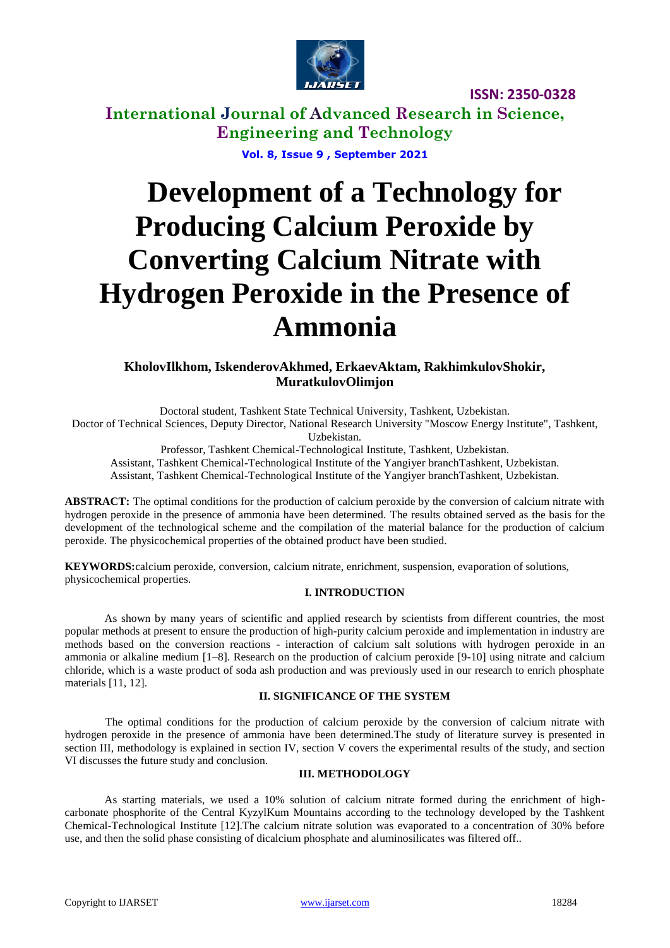

## **International Journal of Advanced Research in Science, Engineering and Technology**

**Vol. 8, Issue 9 , September 2021**

# **Development of a Technology for Producing Calcium Peroxide by Converting Calcium Nitrate with Hydrogen Peroxide in the Presence of Ammonia**

### **KholovIlkhom, IskenderovAkhmed, ErkaevAktam, RakhimkulovShokir, MuratkulovOlimjon**

Doctoral student, Tashkent State Technical University, Tashkent, Uzbekistan. Doctor of Technical Sciences, Deputy Director, National Research University "Moscow Energy Institute", Tashkent, Uzbekistan.

Professor, Tashkent Chemical-Technological Institute, Tashkent, Uzbekistan.

Assistant, Tashkent Chemical-Technological Institute of the Yangiyer branchTashkent, Uzbekistan. Assistant, Tashkent Chemical-Technological Institute of the Yangiyer branchTashkent, Uzbekistan.

**ABSTRACT:** The optimal conditions for the production of calcium peroxide by the conversion of calcium nitrate with hydrogen peroxide in the presence of ammonia have been determined. The results obtained served as the basis for the development of the technological scheme and the compilation of the material balance for the production of calcium peroxide. The physicochemical properties of the obtained product have been studied.

**KEYWORDS:**calcium peroxide, conversion, calcium nitrate, enrichment, suspension, evaporation of solutions, physicochemical properties.

### **I. INTRODUCTION**

As shown by many years of scientific and applied research by scientists from different countries, the most popular methods at present to ensure the production of high-purity calcium peroxide and implementation in industry are methods based on the conversion reactions - interaction of calcium salt solutions with hydrogen peroxide in an ammonia or alkaline medium [1–8]. Research on the production of calcium peroxide [9-10] using nitrate and calcium chloride, which is a waste product of soda ash production and was previously used in our research to enrich phosphate materials [11, 12].

### **II. SIGNIFICANCE OF THE SYSTEM**

The optimal conditions for the production of calcium peroxide by the conversion of calcium nitrate with hydrogen peroxide in the presence of ammonia have been determined.The study of literature survey is presented in section III, methodology is explained in section IV, section V covers the experimental results of the study, and section VI discusses the future study and conclusion.

### **III. METHODOLOGY**

As starting materials, we used a 10% solution of calcium nitrate formed during the enrichment of highcarbonate phosphorite of the Central KyzylKum Mountains according to the technology developed by the Tashkent Chemical-Technological Institute [12].The calcium nitrate solution was evaporated to a concentration of 30% before use, and then the solid phase consisting of dicalcium phosphate and aluminosilicates was filtered off..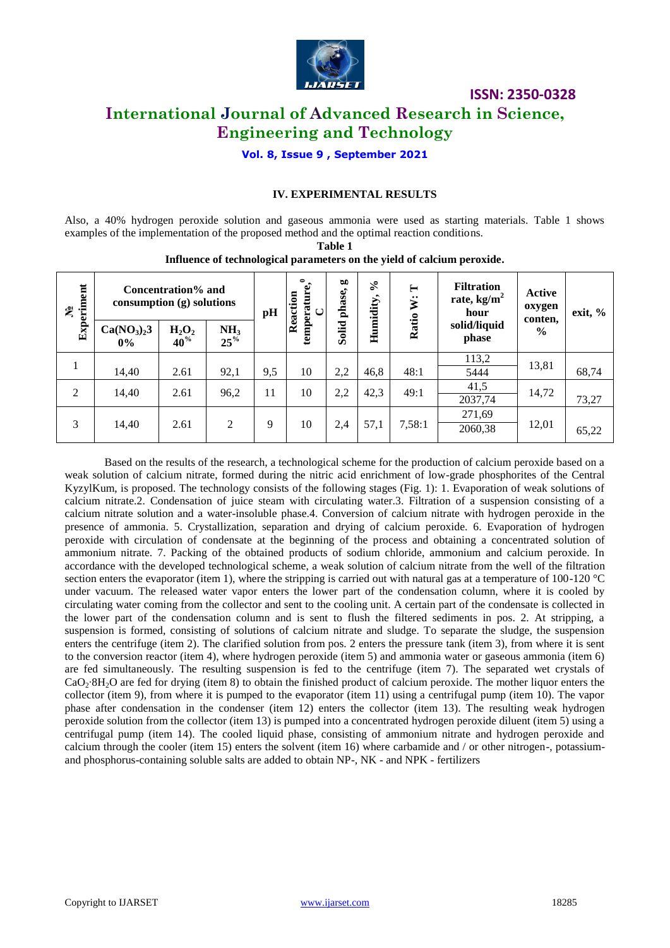

### **International Journal of Advanced Research in Science, Engineering and Technology**

**Vol. 8, Issue 9 , September 2021**

### **IV. EXPERIMENTAL RESULTS**

Also, a 40% hydrogen peroxide solution and gaseous ammonia were used as starting materials. Table 1 shows examples of the implementation of the proposed method and the optimal reaction conditions. **Table 1**

**№Experiment Concentration% and consumption (g) solutions pH Reaction temperature, 0**temperature, **C**Solid phase, **Humidity, % Ratio W: T Filtration rate, kg/m<sup>2</sup> hour solid/liquid phase Active oxygen conten, % exit, % Ca(NO3)23 0% H2O<sup>2</sup> 40% NH<sup>3</sup> 25%** 1 14,40 | 2.61 | 92,1 | 9,5 | 10 | 2,2 | 46,8 | 48:1  $\begin{array}{|c|c|c|c|c|c|}\n\hline\n & 13,81 & 68,74\n\end{array}$ <sup>2</sup> 14,40 2.61 96,2 <sup>11</sup> <sup>10</sup> 2,2 42,3 49:1 41,5 14,72  $\frac{41,3}{2037,74}$  14,72 73,27 3 14,40 2.61 2 9 10 2,4 57,1 7,58:1 271,69  $\frac{2060,38}{2060,38}$  12,01 65,22

**Influence of technological parameters on the yield of calcium peroxide.**

Based on the results of the research, a technological scheme for the production of calcium peroxide based on a weak solution of calcium nitrate, formed during the nitric acid enrichment of low-grade phosphorites of the Central KyzylKum, is proposed. The technology consists of the following stages (Fig. 1): 1. Evaporation of weak solutions of calcium nitrate.2. Condensation of juice steam with circulating water.3. Filtration of a suspension consisting of a calcium nitrate solution and a water-insoluble phase.4. Conversion of calcium nitrate with hydrogen peroxide in the presence of ammonia. 5. Crystallization, separation and drying of calcium peroxide. 6. Evaporation of hydrogen peroxide with circulation of condensate at the beginning of the process and obtaining a concentrated solution of ammonium nitrate. 7. Packing of the obtained products of sodium chloride, ammonium and calcium peroxide. In accordance with the developed technological scheme, a weak solution of calcium nitrate from the well of the filtration section enters the evaporator (item 1), where the stripping is carried out with natural gas at a temperature of  $100-120$  °C under vacuum. The released water vapor enters the lower part of the condensation column, where it is cooled by circulating water coming from the collector and sent to the cooling unit. A certain part of the condensate is collected in the lower part of the condensation column and is sent to flush the filtered sediments in pos. 2. At stripping, a suspension is formed, consisting of solutions of calcium nitrate and sludge. To separate the sludge, the suspension enters the centrifuge (item 2). The clarified solution from pos. 2 enters the pressure tank (item 3), from where it is sent to the conversion reactor (item 4), where hydrogen peroxide (item 5) and ammonia water or gaseous ammonia (item 6) are fed simultaneously. The resulting suspension is fed to the centrifuge (item 7). The separated wet crystals of CaO<sub>2</sub>⋅8H<sub>2</sub>O are fed for drying (item 8) to obtain the finished product of calcium peroxide. The mother liquor enters the collector (item 9), from where it is pumped to the evaporator (item 11) using a centrifugal pump (item 10). The vapor phase after condensation in the condenser (item 12) enters the collector (item 13). The resulting weak hydrogen peroxide solution from the collector (item 13) is pumped into a concentrated hydrogen peroxide diluent (item 5) using a centrifugal pump (item 14). The cooled liquid phase, consisting of ammonium nitrate and hydrogen peroxide and calcium through the cooler (item 15) enters the solvent (item 16) where carbamide and / or other nitrogen-, potassiumand phosphorus-containing soluble salts are added to obtain NP-, NK - and NPK - fertilizers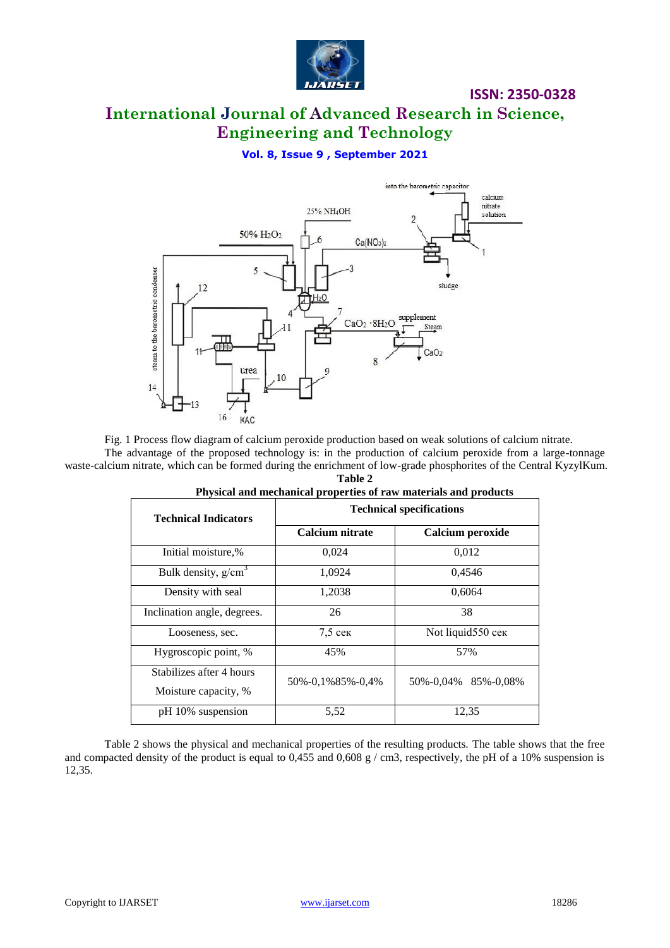

### **International Journal of Advanced Research in Science, Engineering and Technology**

### **Vol. 8, Issue 9 , September 2021**



Fig. 1 Process flow diagram of calcium peroxide production based on weak solutions of calcium nitrate.

The advantage of the proposed technology is: in the production of calcium peroxide from a large-tonnage waste-calcium nitrate, which can be formed during the enrichment of low-grade phosphorites of the Central KyzylKum. **Table 2**

| Physical and mechanical properties of raw materials and products |                                 |                         |
|------------------------------------------------------------------|---------------------------------|-------------------------|
| <b>Technical Indicators</b>                                      | <b>Technical specifications</b> |                         |
|                                                                  | Calcium nitrate                 | Calcium peroxide        |
| Initial moisture,%                                               | 0,024                           | 0,012                   |
| Bulk density, $g/cm3$                                            | 1.0924                          | 0.4546                  |
| Density with seal                                                | 1,2038                          | 0,6064                  |
| Inclination angle, degrees.                                      | 26                              | 38                      |
| Looseness, sec.                                                  | $7.5$ cek                       | Not liquid550 сек       |
| Hygroscopic point, %                                             | 45%                             | 57%                     |
| Stabilizes after 4 hours<br>Moisture capacity, %                 | 50%-0,1%85%-0,4%                | 50\%-0,04\% 85\%-0,08\% |
| pH 10% suspension                                                | 5,52                            | 12,35                   |

Table 2 shows the physical and mechanical properties of the resulting products. The table shows that the free and compacted density of the product is equal to 0,455 and 0,608 g / cm3, respectively, the pH of a 10% suspension is 12,35.